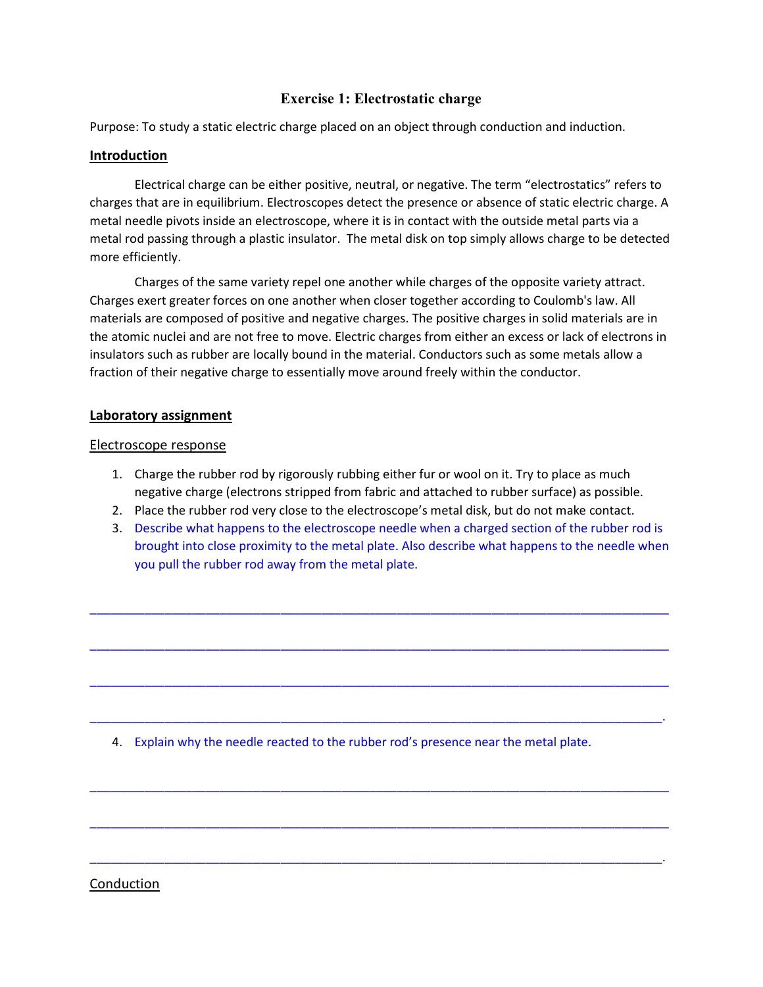# Exercise 1: Electrostatic charge

Purpose: To study a static electric charge placed on an object through conduction and induction.

### Introduction

Electrical charge can be either positive, neutral, or negative. The term "electrostatics" refers to charges that are in equilibrium. Electroscopes detect the presence or absence of static electric charge. A metal needle pivots inside an electroscope, where it is in contact with the outside metal parts via a metal rod passing through a plastic insulator. The metal disk on top simply allows charge to be detected more efficiently.

Charges of the same variety repel one another while charges of the opposite variety attract. Charges exert greater forces on one another when closer together according to Coulomb's law. All materials are composed of positive and negative charges. The positive charges in solid materials are in the atomic nuclei and are not free to move. Electric charges from either an excess or lack of electrons in insulators such as rubber are locally bound in the material. Conductors such as some metals allow a fraction of their negative charge to essentially move around freely within the conductor.

## Laboratory assignment

#### Electroscope response

- 1. Charge the rubber rod by rigorously rubbing either fur or wool on it. Try to place as much negative charge (electrons stripped from fabric and attached to rubber surface) as possible.
- 2. Place the rubber rod very close to the electroscope's metal disk, but do not make contact.
- 3. Describe what happens to the electroscope needle when a charged section of the rubber rod is brought into close proximity to the metal plate. Also describe what happens to the needle when you pull the rubber rod away from the metal plate.

\_\_\_\_\_\_\_\_\_\_\_\_\_\_\_\_\_\_\_\_\_\_\_\_\_\_\_\_\_\_\_\_\_\_\_\_\_\_\_\_\_\_\_\_\_\_\_\_\_\_\_\_\_\_\_\_\_\_\_\_\_\_\_\_\_\_\_\_\_\_\_\_\_\_\_\_\_\_\_\_\_\_\_\_\_

 $\_$  , and the set of the set of the set of the set of the set of the set of the set of the set of the set of the set of the set of the set of the set of the set of the set of the set of the set of the set of the set of th

\_\_\_\_\_\_\_\_\_\_\_\_\_\_\_\_\_\_\_\_\_\_\_\_\_\_\_\_\_\_\_\_\_\_\_\_\_\_\_\_\_\_\_\_\_\_\_\_\_\_\_\_\_\_\_\_\_\_\_\_\_\_\_\_\_\_\_\_\_\_\_\_\_\_\_\_\_\_\_\_\_\_\_\_\_

\_\_\_\_\_\_\_\_\_\_\_\_\_\_\_\_\_\_\_\_\_\_\_\_\_\_\_\_\_\_\_\_\_\_\_\_\_\_\_\_\_\_\_\_\_\_\_\_\_\_\_\_\_\_\_\_\_\_\_\_\_\_\_\_\_\_\_\_\_\_\_\_\_\_\_\_\_\_\_\_\_\_\_\_.

\_\_\_\_\_\_\_\_\_\_\_\_\_\_\_\_\_\_\_\_\_\_\_\_\_\_\_\_\_\_\_\_\_\_\_\_\_\_\_\_\_\_\_\_\_\_\_\_\_\_\_\_\_\_\_\_\_\_\_\_\_\_\_\_\_\_\_\_\_\_\_\_\_\_\_\_\_\_\_\_\_\_\_\_\_

\_\_\_\_\_\_\_\_\_\_\_\_\_\_\_\_\_\_\_\_\_\_\_\_\_\_\_\_\_\_\_\_\_\_\_\_\_\_\_\_\_\_\_\_\_\_\_\_\_\_\_\_\_\_\_\_\_\_\_\_\_\_\_\_\_\_\_\_\_\_\_\_\_\_\_\_\_\_\_\_\_\_\_\_\_

\_\_\_\_\_\_\_\_\_\_\_\_\_\_\_\_\_\_\_\_\_\_\_\_\_\_\_\_\_\_\_\_\_\_\_\_\_\_\_\_\_\_\_\_\_\_\_\_\_\_\_\_\_\_\_\_\_\_\_\_\_\_\_\_\_\_\_\_\_\_\_\_\_\_\_\_\_\_\_\_\_\_\_\_.

4. Explain why the needle reacted to the rubber rod's presence near the metal plate.

#### Conduction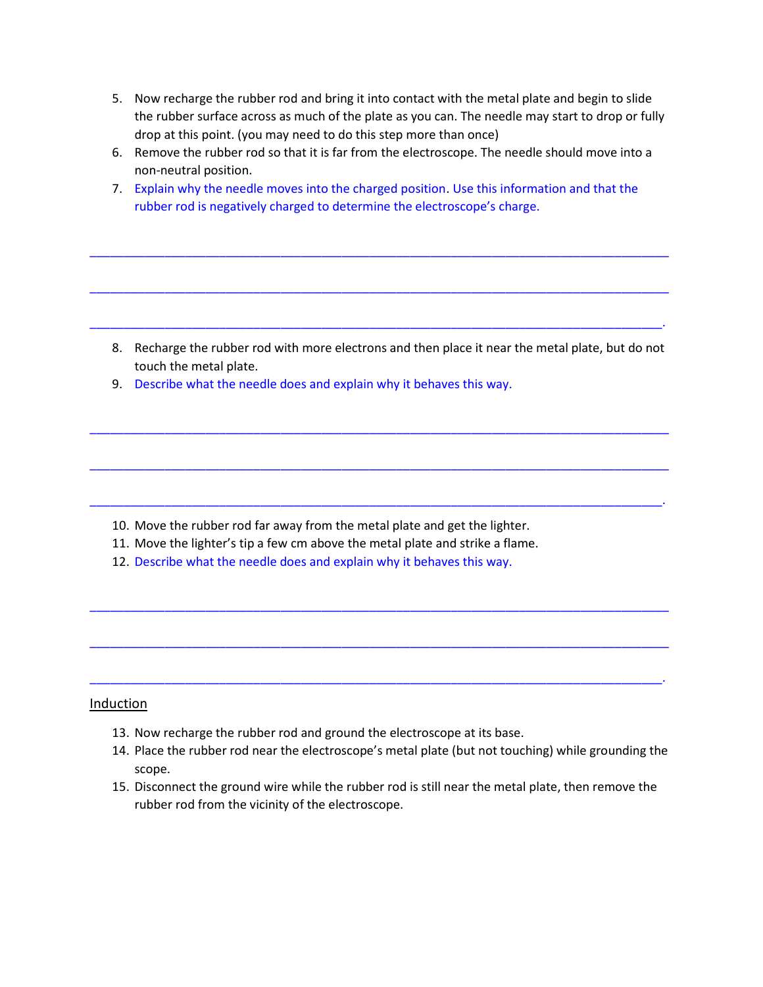- 5. Now recharge the rubber rod and bring it into contact with the metal plate and begin to slide the rubber surface across as much of the plate as you can. The needle may start to drop or fully drop at this point. (you may need to do this step more than once)
- 6. Remove the rubber rod so that it is far from the electroscope. The needle should move into a non-neutral position.
- 7. Explain why the needle moves into the charged position. Use this information and that the rubber rod is negatively charged to determine the electroscope's charge.

\_\_\_\_\_\_\_\_\_\_\_\_\_\_\_\_\_\_\_\_\_\_\_\_\_\_\_\_\_\_\_\_\_\_\_\_\_\_\_\_\_\_\_\_\_\_\_\_\_\_\_\_\_\_\_\_\_\_\_\_\_\_\_\_\_\_\_\_\_\_\_\_\_\_\_\_\_\_\_\_\_\_\_\_\_

\_\_\_\_\_\_\_\_\_\_\_\_\_\_\_\_\_\_\_\_\_\_\_\_\_\_\_\_\_\_\_\_\_\_\_\_\_\_\_\_\_\_\_\_\_\_\_\_\_\_\_\_\_\_\_\_\_\_\_\_\_\_\_\_\_\_\_\_\_\_\_\_\_\_\_\_\_\_\_\_\_\_\_\_\_

\_\_\_\_\_\_\_\_\_\_\_\_\_\_\_\_\_\_\_\_\_\_\_\_\_\_\_\_\_\_\_\_\_\_\_\_\_\_\_\_\_\_\_\_\_\_\_\_\_\_\_\_\_\_\_\_\_\_\_\_\_\_\_\_\_\_\_\_\_\_\_\_\_\_\_\_\_\_\_\_\_\_\_\_.

\_\_\_\_\_\_\_\_\_\_\_\_\_\_\_\_\_\_\_\_\_\_\_\_\_\_\_\_\_\_\_\_\_\_\_\_\_\_\_\_\_\_\_\_\_\_\_\_\_\_\_\_\_\_\_\_\_\_\_\_\_\_\_\_\_\_\_\_\_\_\_\_\_\_\_\_\_\_\_\_\_\_\_\_\_

\_\_\_\_\_\_\_\_\_\_\_\_\_\_\_\_\_\_\_\_\_\_\_\_\_\_\_\_\_\_\_\_\_\_\_\_\_\_\_\_\_\_\_\_\_\_\_\_\_\_\_\_\_\_\_\_\_\_\_\_\_\_\_\_\_\_\_\_\_\_\_\_\_\_\_\_\_\_\_\_\_\_\_\_\_

\_\_\_\_\_\_\_\_\_\_\_\_\_\_\_\_\_\_\_\_\_\_\_\_\_\_\_\_\_\_\_\_\_\_\_\_\_\_\_\_\_\_\_\_\_\_\_\_\_\_\_\_\_\_\_\_\_\_\_\_\_\_\_\_\_\_\_\_\_\_\_\_\_\_\_\_\_\_\_\_\_\_\_\_.

\_\_\_\_\_\_\_\_\_\_\_\_\_\_\_\_\_\_\_\_\_\_\_\_\_\_\_\_\_\_\_\_\_\_\_\_\_\_\_\_\_\_\_\_\_\_\_\_\_\_\_\_\_\_\_\_\_\_\_\_\_\_\_\_\_\_\_\_\_\_\_\_\_\_\_\_\_\_\_\_\_\_\_\_\_

\_\_\_\_\_\_\_\_\_\_\_\_\_\_\_\_\_\_\_\_\_\_\_\_\_\_\_\_\_\_\_\_\_\_\_\_\_\_\_\_\_\_\_\_\_\_\_\_\_\_\_\_\_\_\_\_\_\_\_\_\_\_\_\_\_\_\_\_\_\_\_\_\_\_\_\_\_\_\_\_\_\_\_\_\_

\_\_\_\_\_\_\_\_\_\_\_\_\_\_\_\_\_\_\_\_\_\_\_\_\_\_\_\_\_\_\_\_\_\_\_\_\_\_\_\_\_\_\_\_\_\_\_\_\_\_\_\_\_\_\_\_\_\_\_\_\_\_\_\_\_\_\_\_\_\_\_\_\_\_\_\_\_\_\_\_\_\_\_\_.

- 8. Recharge the rubber rod with more electrons and then place it near the metal plate, but do not touch the metal plate.
- 9. Describe what the needle does and explain why it behaves this way.

- 10. Move the rubber rod far away from the metal plate and get the lighter.
- 11. Move the lighter's tip a few cm above the metal plate and strike a flame.
- 12. Describe what the needle does and explain why it behaves this way.

#### **Induction**

- 13. Now recharge the rubber rod and ground the electroscope at its base.
- 14. Place the rubber rod near the electroscope's metal plate (but not touching) while grounding the scope.
- 15. Disconnect the ground wire while the rubber rod is still near the metal plate, then remove the rubber rod from the vicinity of the electroscope.